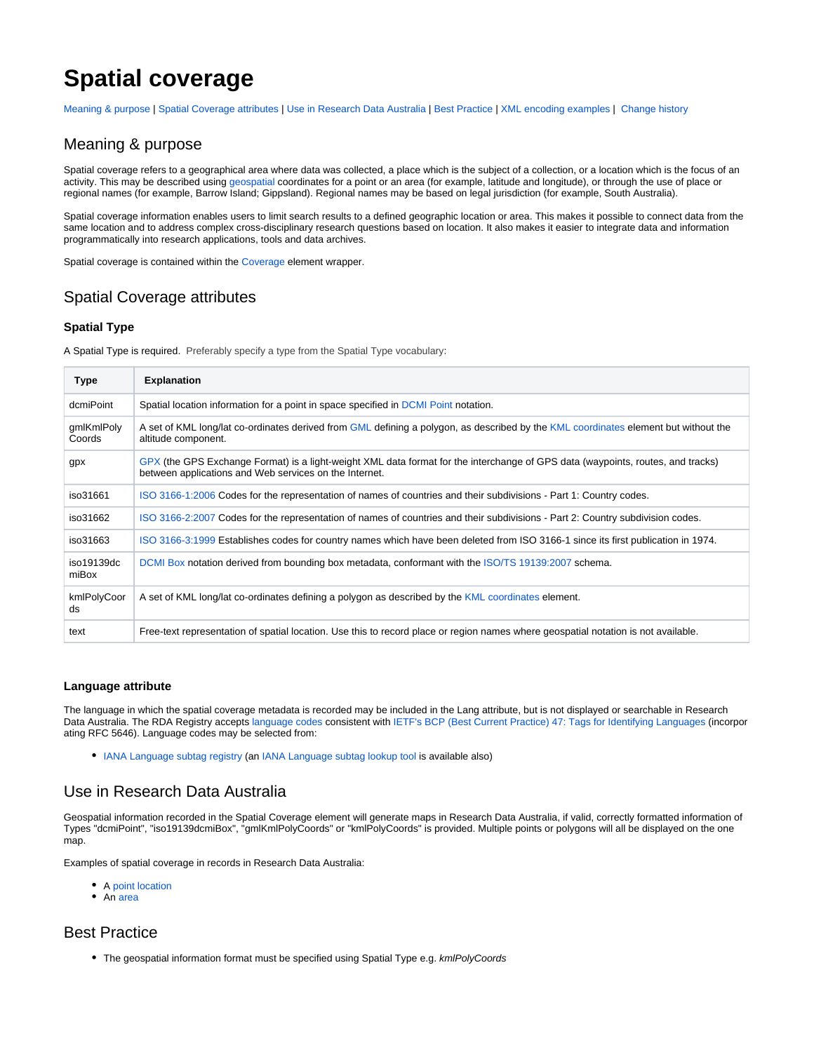# **Spatial coverage**

[Meaning & purpose](#page-0-0) | [Spatial Coverage attributes](#page-0-1) | [Use in Research Data Australia](#page-0-2) | [Best Practice](#page-0-3) | [XML encoding examples](#page-1-0) | [Change history](#page-1-1)

### <span id="page-0-0"></span>Meaning & purpose

Spatial coverage refers to a geographical area where data was collected, a place which is the subject of a collection, or a location which is the focus of an activity. This may be described using [geospatial](http://ands.org.au/guides/geospatial) coordinates for a point or an area (for example, latitude and longitude), or through the use of place or regional names (for example, Barrow Island; Gippsland). Regional names may be based on legal jurisdiction (for example, South Australia).

Spatial coverage information enables users to limit search results to a defined geographic location or area. This makes it possible to connect data from the same location and to address complex cross-disciplinary research questions based on location. It also makes it easier to integrate data and information programmatically into research applications, tools and data archives.

Spatial coverage is contained within the [Coverage](https://intranet.ands.org.au/display/DOC/Coverage) element wrapper.

# <span id="page-0-1"></span>Spatial Coverage attributes

### **Spatial Type**

A Spatial Type is required. Preferably specify a type from the Spatial Type vocabulary:

| <b>Type</b>          | <b>Explanation</b>                                                                                                                                                                        |
|----------------------|-------------------------------------------------------------------------------------------------------------------------------------------------------------------------------------------|
| dcmiPoint            | Spatial location information for a point in space specified in DCMI Point notation.                                                                                                       |
| qmlKmlPoly<br>Coords | A set of KML long/lat co-ordinates derived from GML defining a polygon, as described by the KML coordinates element but without the<br>altitude component.                                |
| gpx                  | GPX (the GPS Exchange Format) is a light-weight XML data format for the interchange of GPS data (waypoints, routes, and tracks)<br>between applications and Web services on the Internet. |
| iso31661             | ISO 3166-1:2006 Codes for the representation of names of countries and their subdivisions - Part 1: Country codes.                                                                        |
| iso31662             | ISO 3166-2:2007 Codes for the representation of names of countries and their subdivisions - Part 2: Country subdivision codes.                                                            |
| iso31663             | ISO 3166-3:1999 Establishes codes for country names which have been deleted from ISO 3166-1 since its first publication in 1974.                                                          |
| iso19139dc<br>miBox  | DCMI Box notation derived from bounding box metadata, conformant with the ISO/TS 19139:2007 schema.                                                                                       |
| kmlPolyCoor<br>ds    | A set of KML long/lat co-ordinates defining a polygon as described by the KML coordinates element.                                                                                        |
| text                 | Free-text representation of spatial location. Use this to record place or region names where geospatial notation is not available.                                                        |

#### **Language attribute**

The language in which the spatial coverage metadata is recorded may be included in the Lang attribute, but is not displayed or searchable in Research Data Australia. The RDA Registry accepts [language codes](http://www.w3.org/International/questions/qa-choosing-language-tags) consistent with [IETF's BCP \(Best Current Practice\) 47: Tags for Identifying Languages](http://www.rfc-editor.org/info/rfc5646) (incorpor ating RFC 5646). Language codes may be selected from:

[IANA Language subtag registry](http://www.iana.org/assignments/language-subtag-registry/language-subtag-registry) (an [IANA Language subtag lookup tool](http://r12a.github.io/app-subtags/) is available also)

## <span id="page-0-2"></span>Use in Research Data Australia

Geospatial information recorded in the Spatial Coverage element will generate maps in Research Data Australia, if valid, correctly formatted information of Types "dcmiPoint", "iso19139dcmiBox", "gmlKmlPolyCoords" or "kmlPolyCoords" is provided. Multiple points or polygons will all be displayed on the one map.

Examples of spatial coverage in records in Research Data Australia:

- A [point location](http://researchdata.ands.org.au/heart-rate-superb-2012-2013/456712)
- An [area](http://researchdata.ands.org.au/tamworth/589028)

### <span id="page-0-3"></span>Best Practice

**•** The geospatial information format must be specified using Spatial Type e.g. kmlPolyCoords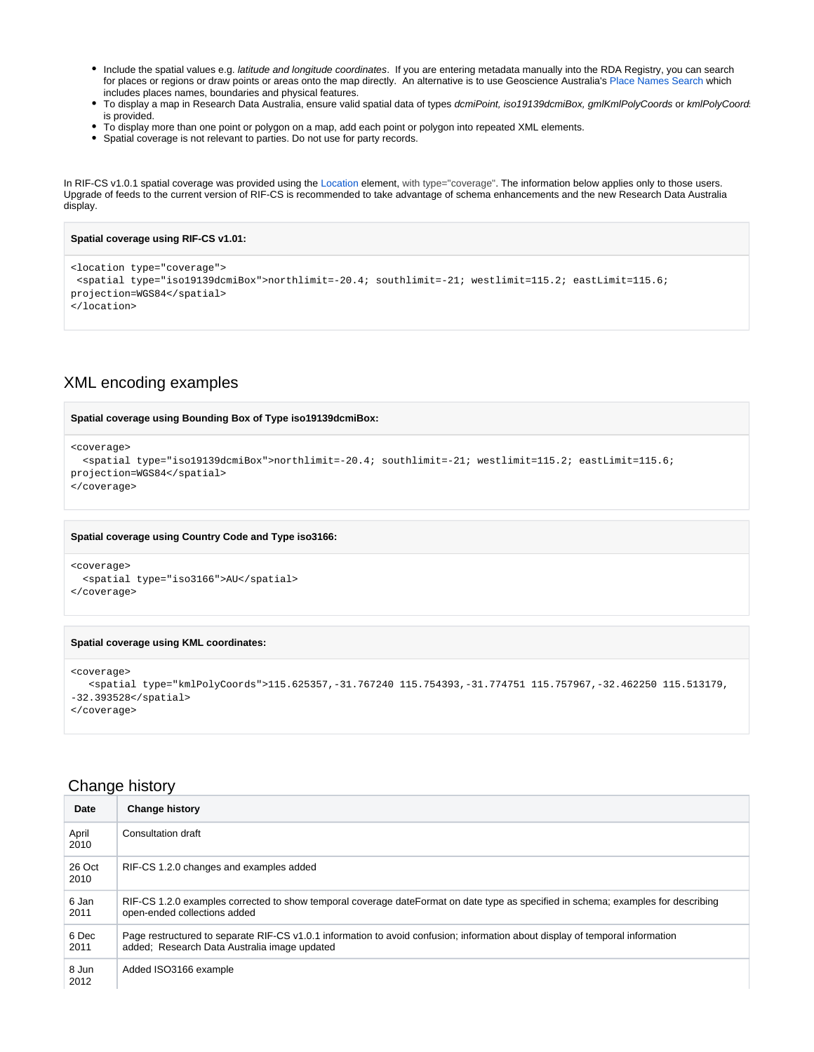- Include the spatial values e.g. latitude and longitude coordinates. If you are entering metadata manually into the RDA Registry, you can search for places or regions or draw points or areas onto the map directly. An alternative is to use Geoscience Australia's [Place Names Search](http://www.ga.gov.au/placename) which includes places names, boundaries and physical features.
- To display a map in Research Data Australia, ensure valid spatial data of types dcmiPoint, iso19139dcmiBox, gmlKmlPolyCoords or kmlPolyCoord is provided.
- To display more than one point or polygon on a map, add each point or polygon into repeated XML elements.
- Spatial coverage is not relevant to parties. Do not use for party records.

In RIF-CS v1.0.1 spatial coverage was provided using the [Location](https://intranet.ands.org.au/display/DOC/Location) element, with type="coverage". The information below applies only to those users. Upgrade of feeds to the current version of RIF-CS is recommended to take advantage of schema enhancements and the new Research Data Australia display.

```
Spatial coverage using RIF-CS v1.01:
<location type="coverage">
 <spatial type="iso19139dcmiBox">northlimit=-20.4; southlimit=-21; westlimit=115.2; eastLimit=115.6; 
projection=WGS84</spatial> 
</location>
```
### <span id="page-1-0"></span>XML encoding examples

#### **Spatial coverage using Bounding Box of Type iso19139dcmiBox:**

```
<coverage>
```

```
 <spatial type="iso19139dcmiBox">northlimit=-20.4; southlimit=-21; westlimit=115.2; eastLimit=115.6; 
projection=WGS84</spatial>
```

```
</coverage>
```
#### **Spatial coverage using Country Code and Type iso3166:**

```
<coverage>
  <spatial type="iso3166">AU</spatial> 
</coverage>
```
#### **Spatial coverage using KML coordinates:**

```
<coverage>
   <spatial type="kmlPolyCoords">115.625357,-31.767240 115.754393,-31.774751 115.757967,-32.462250 115.513179,
-32.393528</spatial>
</coverage>
```
### <span id="page-1-1"></span>Change history

| Date           | <b>Change history</b>                                                                                                                                                         |
|----------------|-------------------------------------------------------------------------------------------------------------------------------------------------------------------------------|
| April<br>2010  | Consultation draft                                                                                                                                                            |
| 26 Oct<br>2010 | RIF-CS 1.2.0 changes and examples added                                                                                                                                       |
| 6 Jan<br>2011  | RIF-CS 1.2.0 examples corrected to show temporal coverage dateFormat on date type as specified in schema; examples for describing<br>open-ended collections added             |
| 6 Dec<br>2011  | Page restructured to separate RIF-CS v1.0.1 information to avoid confusion; information about display of temporal information<br>added; Research Data Australia image updated |
| 8 Jun<br>2012  | Added ISO3166 example                                                                                                                                                         |